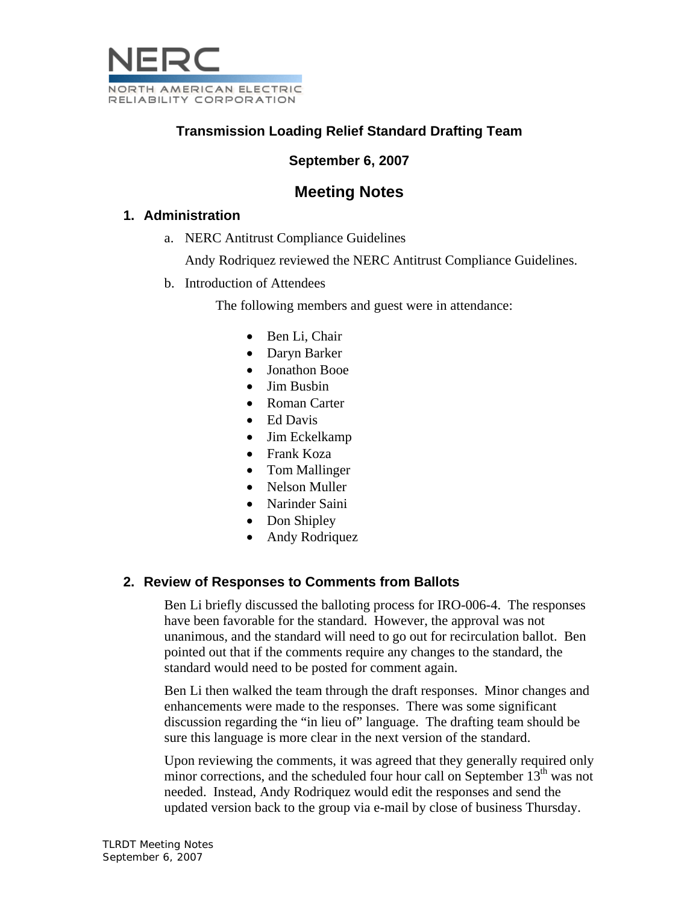

# **Transmission Loading Relief Standard Drafting Team**

## **September 6, 2007**

## **Meeting Notes**

#### **1. Administration**

a. NERC Antitrust Compliance Guidelines

Andy Rodriquez reviewed the NERC Antitrust Compliance Guidelines.

b. Introduction of Attendees

The following members and guest were in attendance:

- Ben Li, Chair
- Daryn Barker
- Jonathon Booe
- Jim Busbin
- Roman Carter
- Ed Davis
- Jim Eckelkamp
- Frank Koza
- Tom Mallinger
- Nelson Muller
- Narinder Saini
- Don Shipley
- Andy Rodriquez

## **2. Review of Responses to Comments from Ballots**

Ben Li briefly discussed the balloting process for IRO-006-4. The responses have been favorable for the standard. However, the approval was not unanimous, and the standard will need to go out for recirculation ballot. Ben pointed out that if the comments require any changes to the standard, the standard would need to be posted for comment again.

Ben Li then walked the team through the draft responses. Minor changes and enhancements were made to the responses. There was some significant discussion regarding the "in lieu of" language. The drafting team should be sure this language is more clear in the next version of the standard.

Upon reviewing the comments, it was agreed that they generally required only minor corrections, and the scheduled four hour call on September  $13<sup>th</sup>$  was not needed. Instead, Andy Rodriquez would edit the responses and send the updated version back to the group via e-mail by close of business Thursday.